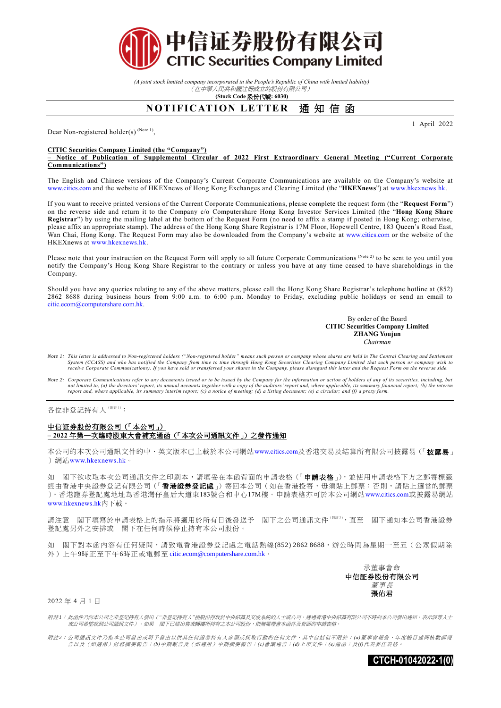

*(A joint stock limited company incorporated in the People's Republic of China with limited liability)* (在中華人民共和國註冊成立的股份有限公司)

**(Stock Code** 股份代號**: 6030)**

## **NOTIFICATION LETTER 通知信函**

Dear Non-registered holder(s)<sup>(Note 1)</sup>,

## **CITIC Securities Company Limited (the "Company")**

**– Notice of Publication of Supplemental Circular of 2022 First Extraordinary General Meeting ("Current Corporate Communications")**

The English and Chinese versions of the Company's Current Corporate Communications are available on the Company's website at [www.citics.com](http://www.ctihk.com.hk/) and the website of HKEXnews of Hong Kong Exchanges and Clearing Limited (the "**HKEXnews**") at [www.hkexnews.hk.](http://www.hkexnews.hk/)

If you want to receive printed versions of the Current Corporate Communications, please complete the request form (the "**Request Form**") on the reverse side and return it to the Company c/o Computershare Hong Kong Investor Services Limited (the "**Hong Kong Share Registrar**") by using the mailing label at the bottom of the Request Form (no need to affix a stamp if posted in Hong Kong; otherwise, please affix an appropriate stamp). The address of the Hong Kong Share Registrar is 17M Floor, Hopewell Centre, 183 Queen's Road East, Wan Chai, Hong Kong. The Request Form may also be downloaded from the Company's website at [www.citics.com](http://www.ctihk.com.hk/) or the website of the HKEXnews a[t www.hkexnews.hk.](http://www.hkexnews.hk/)

Please note that your instruction on the Request Form will apply to all future Corporate Communications (Note 2) to be sent to you until you notify the Company's Hong Kong Share Registrar to the contrary or unless you have at any time ceased to have shareholdings in the Company.

Should you have any queries relating to any of the above matters, please call the Hong Kong Share Registrar's telephone hotline at (852) 2862 8688 during business hours from 9:00 a.m. to 6:00 p.m. Monday to Friday, excluding public holidays or send an email to [citic.ecom@computershare.com.hk.](mailto:%20citic.ecom@computershare.com.hk)

## By order of the Board **CITIC Securities Company Limited ZHANG Youjun**  *Chairman*

1 April 2022

- *Note 1: This letter is addressed to Non-registered holders ("Non-registered holder" means such person or company whose shares are held in The Central Clearing and Settlement System (CCASS) and who has notified the Company from time to time through Hong Kong Securities Clearing Company Limited that such person or company wish to receive Corporate Communications). If you have sold or transferred your shares in the Company, please disregard this letter and the Request Form on the reverse side.*
- Note 2: Corporate Communications refer to any documents issued or to be issued by the Company for the information or action of holders of any of its securities, including, but<br>not limited to, (a) the directors' report, its *report and, where applicable, its summary interim report; (c) a notice of meeting; (d) a listing document; (e) a circular; and (f) a proxy form.*

各位非登記持有人(附註1):

## 中信証券股份有限公司(「本公司」) **– 2022** 年第一次臨時股東大會補充通函(「本次公司通訊文件」)之發佈通知

本公司的本次公司通訊文件的中、英文版本已上載於本公司網站[www.citics.com](http://www.ctihk.com.hk/)及香港交易及結算所有限公司披露易(「披露易」 ) 網站[www.hkexnews.hk](http://www.hkexnews.hk/)。

如 閣下欲收取本次公司通訊文件之印刷本,請填妥在本函背面的申請表格(「申請表格」),並使用申請表格下方之郵寄標籤 經由香港中央證券登記有限公司(「香港證券登記處」)寄回本公司(如在香港投寄,毋須貼上郵票;否則,請貼上適當的郵票 )。香港證券登記處地址為香港灣仔皇后大道東183號合和中心17M樓。申請表格亦可於本公司網站[www.citics.com](http://www.ctihk.com.hk/)或披露易網站 [www.hkexnews.hk](http://www.hkexnews.hk/)內下載。

請注意 閣下填寫於申請表格上的指示將適用於所有日後發送予 閣下之公司通訊文件(##2),直至 閣下通知本公司香港證券 登記處另外之安排或 閣下在任何時候停止持有本公司股份。

如 閣下對本函內容有任何疑問,請致電香港證券登記處之電話熱線(852) 2862 8688,辦公時間為星期一至五(公眾假期除 外)上午9時正至下午6時正或電郵至 [citic.ecom@computershare.com.hk](mailto:citic.ecom@computershare.com.hk)。

> 承董事會命 中信証券股份有限公司 董事長 張佑君

2022 年 4 月 1 日

附註*1*: 此函件乃向本公司之非登記持有人發出(*"*非登記持有人*"*指股份存放於中央結算及交收系統的人士或公司,透過香港中央結算有限公司不時向本公司發出通知,表示該等人士 或公司希望收到公司通訊文件)。如果 閣下已經出售或轉讓所持有之本公司股份,則無需理會本函件及背面的申請表格。

附註*2*: 公司通訊文件乃指本公司發出或將予發出以供其任何證券持有人參照或採取行動的任何文件,其中包括但不限於: *(a)*董事會報告、年度帳目連同核數師報 告以及(如適用)財務摘要報告;*(b)*中期報告及(如適用)中期摘要報告;*(c)*會議通告;*(d)*上市文件;*(e)*通函;及*(f)*代表委任表格。